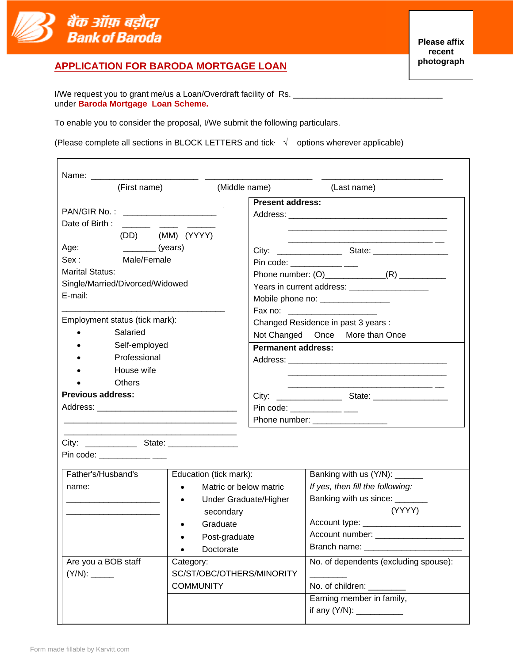

# **APPLICATION FOR BARODA MORTGAGE LOAN**

To enable you to consider the proposal, I/We submit the following particulars.

(Please complete all sections in BLOCK LETTERS and tick  $\sqrt{\phantom{a}}$  options wherever applicable)

| (First name)                                                                                                                                                                                                                                                                                                                                                                                                                                                                                                                                    | (Middle name)                                                                                                                                                           | (Last name)                                                                                                                                                                                                        |
|-------------------------------------------------------------------------------------------------------------------------------------------------------------------------------------------------------------------------------------------------------------------------------------------------------------------------------------------------------------------------------------------------------------------------------------------------------------------------------------------------------------------------------------------------|-------------------------------------------------------------------------------------------------------------------------------------------------------------------------|--------------------------------------------------------------------------------------------------------------------------------------------------------------------------------------------------------------------|
| PAN/GIR No.: _____________________<br>Date of Birth:<br><b>Contract Contract</b>                                                                                                                                                                                                                                                                                                                                                                                                                                                                |                                                                                                                                                                         | <b>Present address:</b>                                                                                                                                                                                            |
| (DD) (MM) (YYYY)<br>$\frac{1}{\sqrt{1-\frac{1}{2}}\sqrt{1-\frac{1}{2}}\sqrt{1-\frac{1}{2}}\sqrt{1-\frac{1}{2}}\sqrt{1-\frac{1}{2}}\sqrt{1-\frac{1}{2}}\sqrt{1-\frac{1}{2}}\sqrt{1-\frac{1}{2}}\sqrt{1-\frac{1}{2}}\sqrt{1-\frac{1}{2}}\sqrt{1-\frac{1}{2}}\sqrt{1-\frac{1}{2}}\sqrt{1-\frac{1}{2}}\sqrt{1-\frac{1}{2}}\sqrt{1-\frac{1}{2}}\sqrt{1-\frac{1}{2}}\sqrt{1-\frac{1}{2}}\sqrt{1-\frac{1}{2}}\sqrt{1-\frac{1}{2}}\sqrt{1-\frac$<br>Age:<br>Sex:<br>Male/Female<br><b>Marital Status:</b><br>Single/Married/Divorced/Widowed<br>E-mail: |                                                                                                                                                                         | <u> 1989 - Johann Stoff, amerikansk politiker (d. 1989)</u><br>Pin code: ____________ ___<br>Years in current address: ____________________<br>Mobile phone no: ________________                                   |
| Employment status (tick mark):<br>Salaried                                                                                                                                                                                                                                                                                                                                                                                                                                                                                                      |                                                                                                                                                                         | Changed Residence in past 3 years :<br>Not Changed Once More than Once                                                                                                                                             |
| Self-employed<br>Professional<br>House wife<br><b>Others</b>                                                                                                                                                                                                                                                                                                                                                                                                                                                                                    |                                                                                                                                                                         | <b>Permanent address:</b>                                                                                                                                                                                          |
| <b>Previous address:</b>                                                                                                                                                                                                                                                                                                                                                                                                                                                                                                                        |                                                                                                                                                                         | Pin code: _____________ ___                                                                                                                                                                                        |
| Pin code: _____________ ___                                                                                                                                                                                                                                                                                                                                                                                                                                                                                                                     |                                                                                                                                                                         |                                                                                                                                                                                                                    |
| Father's/Husband's<br>name:                                                                                                                                                                                                                                                                                                                                                                                                                                                                                                                     | Education (tick mark):<br>Matric or below matric<br>$\bullet$<br>Under Graduate/Higher<br>$\bullet$<br>secondary<br>Graduate<br>Post-graduate<br>Doctorate<br>$\bullet$ | Banking with us (Y/N): _____<br>If yes, then fill the following:<br>Banking with us since: _______<br>(YYYY)<br>Account type: ________________________<br>Account number:<br>Branch name: ________________________ |
| Are you a BOB staff                                                                                                                                                                                                                                                                                                                                                                                                                                                                                                                             | Category:<br>SC/ST/OBC/OTHERS/MINORITY<br><b>COMMUNITY</b>                                                                                                              | No. of dependents (excluding spouse):<br>No. of children: ________<br>Earning member in family,                                                                                                                    |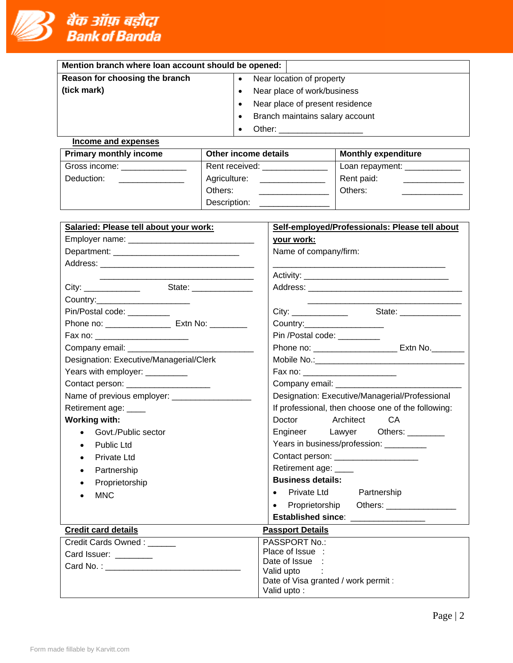

| Mention branch where loan account should be opened: |                                 |  |  |  |  |
|-----------------------------------------------------|---------------------------------|--|--|--|--|
| Reason for choosing the branch                      | Near location of property       |  |  |  |  |
| (tick mark)                                         | Near place of work/business     |  |  |  |  |
|                                                     | Near place of present residence |  |  |  |  |
|                                                     | Branch maintains salary account |  |  |  |  |
|                                                     | Other:                          |  |  |  |  |
| Income and expenses                                 |                                 |  |  |  |  |

| <b>Primary monthly income</b> | Other income details | <b>Monthly expenditure</b> |
|-------------------------------|----------------------|----------------------------|
| Gross income:                 | Rent received:       | Loan repayment: _________  |
| Deduction:                    | Agriculture:         | Rent paid:                 |
|                               | Others:              | Others:                    |
|                               | Description:         |                            |

| Salaried: Please tell about your work:                    | Self-employed/Professionals: Please tell about     |  |  |  |
|-----------------------------------------------------------|----------------------------------------------------|--|--|--|
|                                                           | your work:                                         |  |  |  |
|                                                           | Name of company/firm:                              |  |  |  |
|                                                           |                                                    |  |  |  |
|                                                           |                                                    |  |  |  |
|                                                           |                                                    |  |  |  |
| Country:_______________________                           |                                                    |  |  |  |
| Pin/Postal code: __________                               | State: _______________                             |  |  |  |
| Phone no: _________________________ Extn No: ____________ | Country:____________________                       |  |  |  |
| Fax no: _________________________                         | Pin /Postal code: _________                        |  |  |  |
|                                                           | Phone no: ___________________________ Extn No.     |  |  |  |
| Designation: Executive/Managerial/Clerk                   |                                                    |  |  |  |
| Years with employer: _________                            | Fax no: ________________________                   |  |  |  |
| Contact person: ____________________                      |                                                    |  |  |  |
|                                                           | Designation: Executive/Managerial/Professional     |  |  |  |
| Retirement age: ____                                      | If professional, then choose one of the following: |  |  |  |
| <b>Working with:</b>                                      | Doctor Architect<br><b>CA</b>                      |  |  |  |
| Govt./Public sector                                       | Engineer Lawyer Others: ________                   |  |  |  |
| <b>Public Ltd</b>                                         | Years in business/profession: _________            |  |  |  |
| <b>Private Ltd</b>                                        | Contact person: ____________________               |  |  |  |
| Partnership<br>$\bullet$                                  | Retirement age: ____                               |  |  |  |
| Proprietorship                                            | <b>Business details:</b>                           |  |  |  |
| <b>MNC</b>                                                | Private Ltd Partnership<br>$\bullet$               |  |  |  |
|                                                           | Proprietorship Others: 2000 Mars 2010<br>$\bullet$ |  |  |  |
|                                                           | Established since: ________________                |  |  |  |
| <b>Credit card details</b>                                | <b>Passport Details</b>                            |  |  |  |
| Credit Cards Owned: ______                                | PASSPORT No.:                                      |  |  |  |
| Card Issuer: _________                                    | Place of Issue :                                   |  |  |  |
|                                                           | Date of Issue<br>Valid upto                        |  |  |  |
|                                                           | Date of Visa granted / work permit :               |  |  |  |
|                                                           | Valid upto:                                        |  |  |  |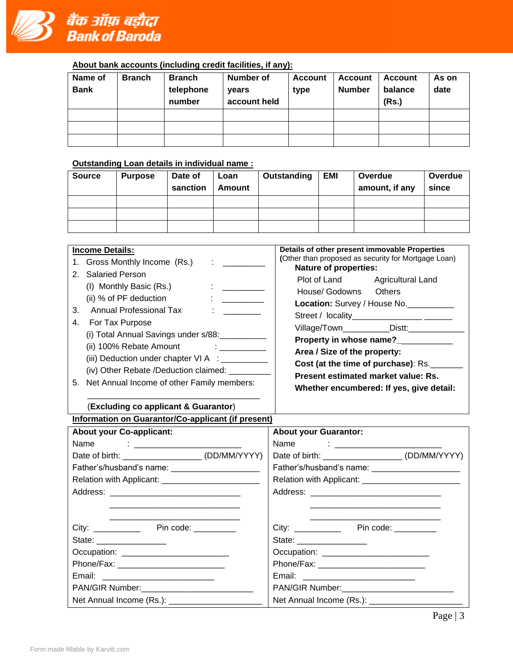

#### **About bank accounts (including credit facilities, if any):**

| Name of<br><b>Bank</b> | <b>Branch</b> | <b>Branch</b><br>telephone<br>number | Number of<br>years<br>account held | <b>Account</b><br>type | Account<br><b>Number</b> | <b>Account</b><br>balance<br>(Rs.) | As on<br>date |
|------------------------|---------------|--------------------------------------|------------------------------------|------------------------|--------------------------|------------------------------------|---------------|
|                        |               |                                      |                                    |                        |                          |                                    |               |
|                        |               |                                      |                                    |                        |                          |                                    |               |
|                        |               |                                      |                                    |                        |                          |                                    |               |

### **Outstanding Loan details in individual name :**

| <b>Source</b> | <b>Purpose</b> | Date of<br>sanction | Loan<br><b>Amount</b> | Outstanding | EMI | Overdue<br>amount, if any | Overdue<br>since |
|---------------|----------------|---------------------|-----------------------|-------------|-----|---------------------------|------------------|
|               |                |                     |                       |             |     |                           |                  |
|               |                |                     |                       |             |     |                           |                  |
|               |                |                     |                       |             |     |                           |                  |
|               |                |                     |                       |             |     |                           |                  |

| <b>Income Details:</b>                                                                                                                                                                                                                                                                                                                                                                                                                                                                         | Details of other present immovable Properties                                                                                                                                                                                                                                                                                                                      |
|------------------------------------------------------------------------------------------------------------------------------------------------------------------------------------------------------------------------------------------------------------------------------------------------------------------------------------------------------------------------------------------------------------------------------------------------------------------------------------------------|--------------------------------------------------------------------------------------------------------------------------------------------------------------------------------------------------------------------------------------------------------------------------------------------------------------------------------------------------------------------|
| 1. Gross Monthly Income (Rs.)<br>$\mathbf{1}$ and $\mathbf{1}$ and $\mathbf{1}$                                                                                                                                                                                                                                                                                                                                                                                                                | (Other than proposed as security for Mortgage Loan)                                                                                                                                                                                                                                                                                                                |
| 2. Salaried Person<br>(I) Monthly Basic (Rs.)<br>$\ddot{\cdot}$ . The contract of $\dot{\cdot}$<br>(ii) % of PF deduction<br>$\ddot{\cdot}$ . The contract of $\ddot{\cdot}$<br>Annual Professional Tax<br>3.<br>The company of the<br>For Tax Purpose<br>4.<br>(i) Total Annual Savings under s/88:<br>(ii) 100% Rebate Amount : ___________<br>(iii) Deduction under chapter VI A : ___________<br>(iv) Other Rebate /Deduction claimed:<br>Net Annual Income of other Family members:<br>5. | <b>Nature of properties:</b><br>Plot of Land Agricultural Land<br>House/ Godowns Others<br>Location: Survey / House No.<br>Village/Town____________Distt:______________<br>Property in whose name?______<br>Area / Size of the property:<br>Cost (at the time of purchase): Rs.<br>Present estimated market value: Rs.<br>Whether encumbered: If yes, give detail: |
|                                                                                                                                                                                                                                                                                                                                                                                                                                                                                                |                                                                                                                                                                                                                                                                                                                                                                    |

# (**Excluding co applicant & Guarantor**)

# **Information on Guarantor/Co-applicant (if present)**

| <b>About your Co-applicant:</b>                     | <b>About your Guarantor:</b>                        |
|-----------------------------------------------------|-----------------------------------------------------|
|                                                     | Name : ________________________                     |
| Date of birth: ________________________(DD/MM/YYYY) | Date of birth: _______________________ (DD/MM/YYYY) |
| Father's/husband's name: _______________________    | Father's/husband's name: ________________________   |
|                                                     | Relation with Applicant: _________________________  |
|                                                     |                                                     |
|                                                     |                                                     |
|                                                     | City: _____________ Pin code: _________             |
|                                                     | State: __________________                           |
|                                                     |                                                     |
|                                                     |                                                     |
| Email: __________________________                   | Email: ____________________________                 |
|                                                     | PAN/GIR Number: _____________________________       |
|                                                     |                                                     |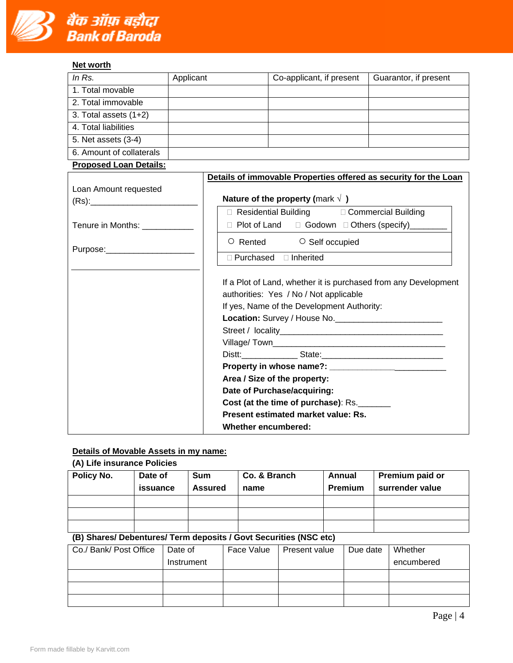

### **Net worth**

| In $Rs.$                      | Applicant | Co-applicant, if present | Guarantor, if present |
|-------------------------------|-----------|--------------------------|-----------------------|
| 1. Total movable              |           |                          |                       |
| 2. Total immovable            |           |                          |                       |
| 3. Total assets $(1+2)$       |           |                          |                       |
| 4. Total liabilities          |           |                          |                       |
| 5. Net assets (3-4)           |           |                          |                       |
| 6. Amount of collaterals      |           |                          |                       |
| <b>Proposed Loan Details:</b> |           |                          |                       |

|                                | Details of immovable Properties offered as security for the Loan                                                                                                                                                                                                                                                                   |  |  |  |  |
|--------------------------------|------------------------------------------------------------------------------------------------------------------------------------------------------------------------------------------------------------------------------------------------------------------------------------------------------------------------------------|--|--|--|--|
| Loan Amount requested          |                                                                                                                                                                                                                                                                                                                                    |  |  |  |  |
|                                | Nature of the property (mark $\sqrt{ }$ )                                                                                                                                                                                                                                                                                          |  |  |  |  |
|                                | □ Residential Building □ Commercial Building                                                                                                                                                                                                                                                                                       |  |  |  |  |
| Tenure in Months: ___________  | □ Plot of Land □ Godown □ Others (specify)________                                                                                                                                                                                                                                                                                 |  |  |  |  |
| Purpose:______________________ | O Rented O Self occupied                                                                                                                                                                                                                                                                                                           |  |  |  |  |
|                                | □ Purchased □ Inherited                                                                                                                                                                                                                                                                                                            |  |  |  |  |
|                                | If a Plot of Land, whether it is purchased from any Development<br>authorities: Yes / No / Not applicable<br>If yes, Name of the Development Authority:<br>Area / Size of the property:<br>Date of Purchase/acquiring:<br>Cost (at the time of purchase): Rs.<br>Present estimated market value: Rs.<br><b>Whether encumbered:</b> |  |  |  |  |

### **Details of Movable Assets in my name:**

# **(A) Life insurance Policies**

| Policy No. | Date of<br>issuance | <b>Sum</b><br><b>Assured</b> | Co. & Branch<br>name | Annual<br>Premium | <b>Premium paid or</b><br>surrender value |
|------------|---------------------|------------------------------|----------------------|-------------------|-------------------------------------------|
|            |                     |                              |                      |                   |                                           |
|            |                     |                              |                      |                   |                                           |
|            |                     |                              |                      |                   |                                           |

# **(B) Shares/ Debentures/ Term deposits / Govt Securities (NSC etc)**

| Co./ Bank/ Post Office | Date of    | Face Value | Present value | Due date | Whether    |
|------------------------|------------|------------|---------------|----------|------------|
|                        | Instrument |            |               |          | encumbered |
|                        |            |            |               |          |            |
|                        |            |            |               |          |            |
|                        |            |            |               |          |            |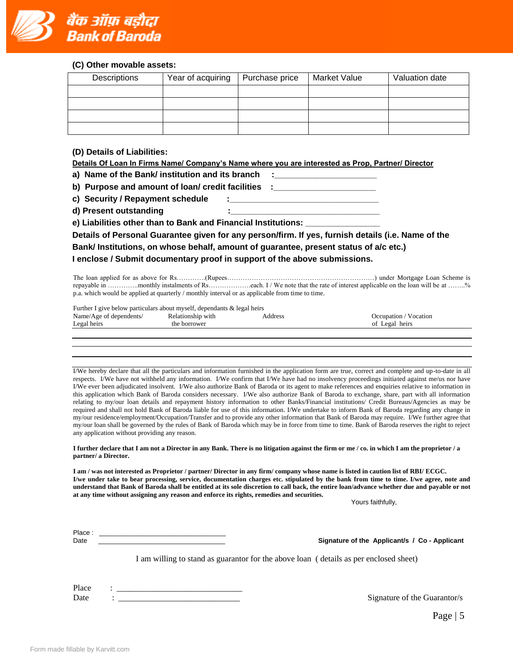

#### **(C) Other movable assets:**

| Descriptions | Year of acquiring | Purchase price | Market Value | Valuation date |
|--------------|-------------------|----------------|--------------|----------------|
|              |                   |                |              |                |
|              |                   |                |              |                |
|              |                   |                |              |                |
|              |                   |                |              |                |

**(D) Details of Liabilities:**

|  | Details Of Loan In Firms Name/ Company's Name where you are interested as Prop, Partner/ Director |  |
|--|---------------------------------------------------------------------------------------------------|--|
|  |                                                                                                   |  |

**a) Name of the Bank/ institution and its branch :\_\_\_\_\_\_\_\_\_\_\_\_\_\_\_\_\_\_\_\_\_\_**

**b)** Purpose and amount of loan/ credit facilities :

c) Security / Repayment schedule

**d) Present outstanding :\_\_\_\_\_\_\_\_\_\_\_\_\_\_\_\_\_\_\_\_\_\_\_\_\_\_\_\_\_\_\_\_**

**e) Liabilities other than to Bank and Financial Institutions: \_\_\_\_\_\_\_\_\_\_\_\_\_\_\_\_**

**Details of Personal Guarantee given for any person/firm. If yes, furnish details (i.e. Name of the Bank/ Institutions, on whose behalf, amount of guarantee, present status of a/c etc.) I enclose / Submit documentary proof in support of the above submissions.**

The loan applied for as above for Rs………….(Rupees…………………………………………………………) under Mortgage Loan Scheme is repayable in …………..monthly instalments of Rs……………….each. I / We note that the rate of interest applicable on the loan will be at ……..% p.a. which would be applied at quarterly / monthly interval or as applicable from time to time.

Further I give below particulars about myself, dependants & legal heirs

| $\sim$ $\sim$<br>Name.<br>endents<br>4 oe<br><u>ົດ1</u><br>det | 'VIU1 | ddress | ocation<br>oation  |
|----------------------------------------------------------------|-------|--------|--------------------|
| egal heir.<br>∽                                                |       |        | heir:<br>ot<br>eoa |

I/We hereby declare that all the particulars and information furnished in the application form are true, correct and complete and up-to-date in all respects. I/We have not withheld any information. I/We confirm that I/We have had no insolvency proceedings initiated against me/us nor have I/We ever been adjudicated insolvent. I/We also authorize Bank of Baroda or its agent to make references and enquiries relative to information in this application which Bank of Baroda considers necessary. I/We also authorize Bank of Baroda to exchange, share, part with all information relating to my/our loan details and repayment history information to other Banks/Financial institutions/ Credit Bureaus/Agencies as may be required and shall not hold Bank of Baroda liable for use of this information. I/We undertake to inform Bank of Baroda regarding any change in my/our residence/employment/Occupation/Transfer and to provide any other information that Bank of Baroda may require. I/We further agree that my/our loan shall be governed by the rules of Bank of Baroda which may be in force from time to time. Bank of Baroda reserves the right to reject any application without providing any reason.

#### **I further declare that I am not a Director in any Bank. There is no litigation against the firm or me / co. in which I am the proprietor / a partner/ a Director.**

**I am / was not interested as Proprietor / partner/ Director in any firm/ company whose name is listed in caution list of RBI/ ECGC. I/we under take to bear processing, service, documentation charges etc. stipulated by the bank from time to time. I/we agree, note and understand that Bank of Baroda shall be entitled at its sole discretion to call back, the entire loan/advance whether due and payable or not at any time without assigning any reason and enforce its rights, remedies and securities.** 

Yours faithfully,

| Place |  |
|-------|--|
| Date  |  |

Signature of the Applicant/s / Co - Applicant

I am willing to stand as guarantor for the above loan ( details as per enclosed sheet)

Place : \_\_\_\_\_\_\_\_\_\_\_\_\_\_\_\_\_\_\_\_\_\_\_\_\_\_\_\_\_\_ Date : \_\_\_\_\_\_\_\_\_\_\_\_\_\_\_\_\_\_\_\_\_\_\_\_\_\_\_\_\_ Signature of the Guarantor/s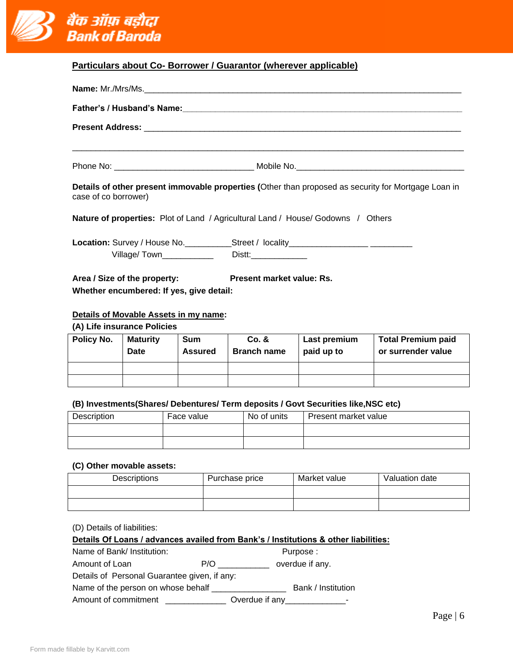

|  | Particulars about Co- Borrower / Guarantor (wherever applicable) |
|--|------------------------------------------------------------------|
|--|------------------------------------------------------------------|

|                      |                                                                          |                | <b>Name:</b> Mr./Mrs/Ms.  |                                                                                         |                                                                                                     |  |  |
|----------------------|--------------------------------------------------------------------------|----------------|---------------------------|-----------------------------------------------------------------------------------------|-----------------------------------------------------------------------------------------------------|--|--|
|                      |                                                                          |                |                           |                                                                                         |                                                                                                     |  |  |
|                      |                                                                          |                |                           |                                                                                         |                                                                                                     |  |  |
|                      |                                                                          |                |                           |                                                                                         |                                                                                                     |  |  |
|                      |                                                                          |                |                           |                                                                                         |                                                                                                     |  |  |
| case of co borrower) |                                                                          |                |                           |                                                                                         | Details of other present immovable properties (Other than proposed as security for Mortgage Loan in |  |  |
|                      |                                                                          |                |                           | <b>Nature of properties:</b> Plot of Land / Agricultural Land / House/ Godowns / Others |                                                                                                     |  |  |
|                      |                                                                          |                |                           | Location: Survey / House No. ____________Street / locality_______________________       |                                                                                                     |  |  |
|                      | Area / Size of the property:<br>Whether encumbered: If yes, give detail: |                | Present market value: Rs. |                                                                                         |                                                                                                     |  |  |
|                      | Details of Movable Assets in my name:                                    |                |                           |                                                                                         |                                                                                                     |  |  |
|                      | (A) Life insurance Policies                                              |                |                           |                                                                                         |                                                                                                     |  |  |
| Policy No.           | <b>Maturity</b>                                                          | <b>Sum</b>     | Co. &                     | Last premium                                                                            | <b>Total Premium paid</b>                                                                           |  |  |
|                      | Date                                                                     | <b>Assured</b> | <b>Branch name</b>        | paid up to                                                                              | or surrender value                                                                                  |  |  |
|                      |                                                                          |                |                           |                                                                                         |                                                                                                     |  |  |

#### **(B) Investments(Shares/ Debentures/ Term deposits / Govt Securities like,NSC etc)**

| Description | Face value | No of units | Present market value |
|-------------|------------|-------------|----------------------|
|             |            |             |                      |
|             |            |             |                      |
|             |            |             |                      |
|             |            |             |                      |
|             |            |             |                      |

#### **(C) Other movable assets:**

| Descriptions | Purchase price | Market value | Valuation date |
|--------------|----------------|--------------|----------------|
|              |                |              |                |
|              |                |              |                |

(D) Details of liabilities:

#### **Details Of Loans / advances availed from Bank's / Institutions & other liabilities:**

Name of Bank/ Institution: Purpose : Amount of Loan P/O \_\_\_\_\_\_\_\_\_\_\_\_\_ overdue if any.

Details of Personal Guarantee given, if any:

Name of the person on whose behalf \_\_\_\_\_\_\_\_\_\_\_\_\_\_\_\_ Bank / Institution

Amount of commitment \_\_\_\_\_\_\_\_\_\_\_\_\_\_\_\_ Overdue if any\_\_\_\_\_\_\_\_\_\_\_\_\_\_\_-